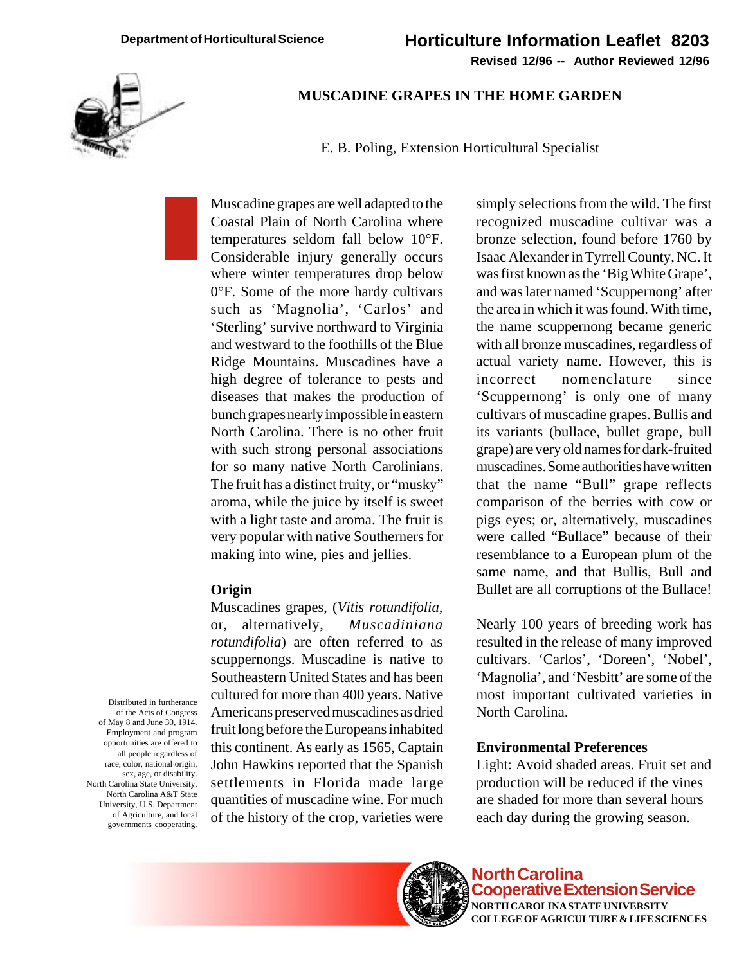

### **MUSCADINE GRAPES IN THE HOME GARDEN**

E. B. Poling, Extension Horticultural Specialist

Muscadine grapes are well adapted to the Coastal Plain of North Carolina where temperatures seldom fall below 10°F. Considerable injury generally occurs where winter temperatures drop below 0°F. Some of the more hardy cultivars such as 'Magnolia', 'Carlos' and 'Sterling' survive northward to Virginia and westward to the foothills of the Blue Ridge Mountains. Muscadines have a high degree of tolerance to pests and diseases that makes the production of bunch grapes nearly impossible in eastern North Carolina. There is no other fruit with such strong personal associations for so many native North Carolinians. The fruit has a distinct fruity, or "musky" aroma, while the juice by itself is sweet with a light taste and aroma. The fruit is very popular with native Southerners for making into wine, pies and jellies.

### **Origin**

Muscadines grapes, (*Vitis rotundifolia*, or, alternatively, *Muscadiniana rotundifolia*) are often referred to as scuppernongs. Muscadine is native to Southeastern United States and has been cultured for more than 400 years. Native Americans preserved muscadines as dried fruit long before the Europeans inhabited this continent. As early as 1565, Captain John Hawkins reported that the Spanish settlements in Florida made large quantities of muscadine wine. For much of the history of the crop, varieties were simply selections from the wild. The first recognized muscadine cultivar was a bronze selection, found before 1760 by Isaac Alexander in Tyrrell County, NC. It was first known as the 'Big White Grape', and was later named 'Scuppernong' after the area in which it was found. With time, the name scuppernong became generic with all bronze muscadines, regardless of actual variety name. However, this is incorrect nomenclature since 'Scuppernong' is only one of many cultivars of muscadine grapes. Bullis and its variants (bullace, bullet grape, bull grape) are very old names for dark-fruited muscadines. Some authorities have written that the name "Bull" grape reflects comparison of the berries with cow or pigs eyes; or, alternatively, muscadines were called "Bullace" because of their resemblance to a European plum of the same name, and that Bullis, Bull and Bullet are all corruptions of the Bullace!

Nearly 100 years of breeding work has resulted in the release of many improved cultivars. 'Carlos', 'Doreen', 'Nobel', 'Magnolia', and 'Nesbitt' are some of the most important cultivated varieties in North Carolina.

#### **Environmental Preferences**

Light: Avoid shaded areas. Fruit set and production will be reduced if the vines are shaded for more than several hours each day during the growing season.

Distributed in furtherance of the Acts of Congress of May 8 and June 30, 1914. Employment and program opportunities are offered to all people regardless of race, color, national origin, sex, age, or disability. North Carolina State University, North Carolina A&T State University, U.S. Department of Agriculture, and local governments cooperating.



**North Carolina Cooperative Extension Service NORTH CAROLINA STATE UNIVERSITY COLLEGE OF AGRICULTURE & LIFE SCIENCES**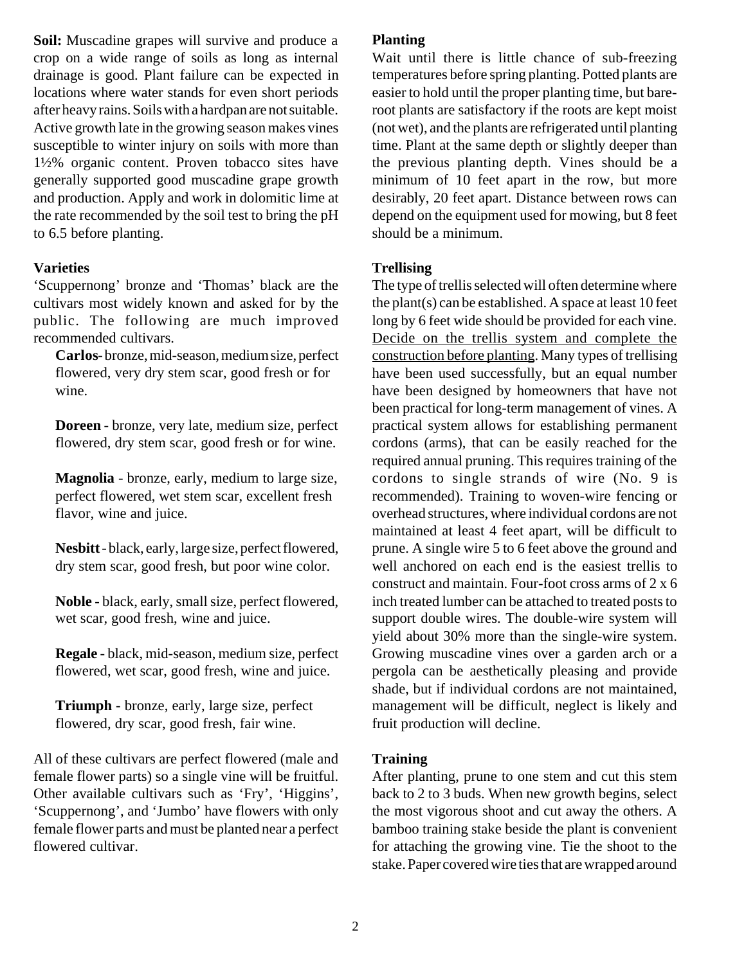**Soil:** Muscadine grapes will survive and produce a crop on a wide range of soils as long as internal drainage is good. Plant failure can be expected in locations where water stands for even short periods after heavy rains. Soils with a hardpan are not suitable. Active growth late in the growing season makes vines susceptible to winter injury on soils with more than 1½% organic content. Proven tobacco sites have generally supported good muscadine grape growth and production. Apply and work in dolomitic lime at the rate recommended by the soil test to bring the pH to 6.5 before planting.

## **Varieties**

'Scuppernong' bronze and 'Thomas' black are the cultivars most widely known and asked for by the public. The following are much improved recommended cultivars.

**Carlos** - bronze, mid-season, medium size, perfect flowered, very dry stem scar, good fresh or for wine.

**Doreen** - bronze, very late, medium size, perfect flowered, dry stem scar, good fresh or for wine.

**Magnolia** - bronze, early, medium to large size, perfect flowered, wet stem scar, excellent fresh flavor, wine and juice.

**Nesbitt** - black, early, large size, perfect flowered, dry stem scar, good fresh, but poor wine color.

**Noble** - black, early, small size, perfect flowered, wet scar, good fresh, wine and juice.

**Regale** - black, mid-season, medium size, perfect flowered, wet scar, good fresh, wine and juice.

**Triumph** - bronze, early, large size, perfect flowered, dry scar, good fresh, fair wine.

All of these cultivars are perfect flowered (male and female flower parts) so a single vine will be fruitful. Other available cultivars such as 'Fry', 'Higgins', 'Scuppernong', and 'Jumbo' have flowers with only female flower parts and must be planted near a perfect flowered cultivar.

## **Planting**

Wait until there is little chance of sub-freezing temperatures before spring planting. Potted plants are easier to hold until the proper planting time, but bareroot plants are satisfactory if the roots are kept moist (not wet), and the plants are refrigerated until planting time. Plant at the same depth or slightly deeper than the previous planting depth. Vines should be a minimum of 10 feet apart in the row, but more desirably, 20 feet apart. Distance between rows can depend on the equipment used for mowing, but 8 feet should be a minimum.

## **Trellising**

The type of trellis selected will often determine where the plant(s) can be established. A space at least 10 feet long by 6 feet wide should be provided for each vine. Decide on the trellis system and complete the construction before planting. Many types of trellising have been used successfully, but an equal number have been designed by homeowners that have not been practical for long-term management of vines. A practical system allows for establishing permanent cordons (arms), that can be easily reached for the required annual pruning. This requires training of the cordons to single strands of wire (No. 9 is recommended). Training to woven-wire fencing or overhead structures, where individual cordons are not maintained at least 4 feet apart, will be difficult to prune. A single wire 5 to 6 feet above the ground and well anchored on each end is the easiest trellis to construct and maintain. Four-foot cross arms of 2 x 6 inch treated lumber can be attached to treated posts to support double wires. The double-wire system will yield about 30% more than the single-wire system. Growing muscadine vines over a garden arch or a pergola can be aesthetically pleasing and provide shade, but if individual cordons are not maintained, management will be difficult, neglect is likely and fruit production will decline.

### **Training**

After planting, prune to one stem and cut this stem back to 2 to 3 buds. When new growth begins, select the most vigorous shoot and cut away the others. A bamboo training stake beside the plant is convenient for attaching the growing vine. Tie the shoot to the stake. Paper covered wire ties that are wrapped around